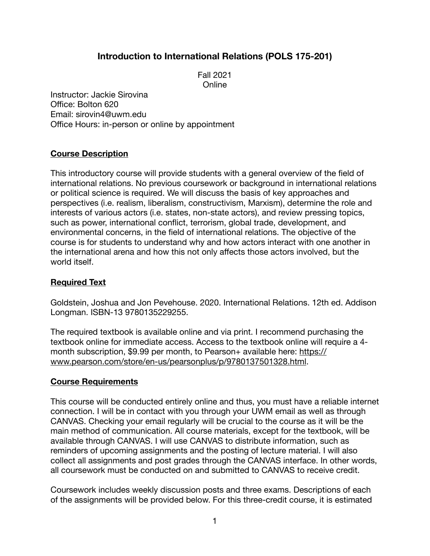# **Introduction to International Relations (POLS 175-201)**

Fall 2021 **Online** 

Instructor: Jackie Sirovina Office: Bolton 620 Email: [sirovin4@uwm.edu](mailto:sirovin4@uwm.edu) Office Hours: in-person or online by appointment

## **Course Description**

This introductory course will provide students with a general overview of the field of international relations. No previous coursework or background in international relations or political science is required. We will discuss the basis of key approaches and perspectives (i.e. realism, liberalism, constructivism, Marxism), determine the role and interests of various actors (i.e. states, non-state actors), and review pressing topics, such as power, international conflict, terrorism, global trade, development, and environmental concerns, in the field of international relations. The objective of the course is for students to understand why and how actors interact with one another in the international arena and how this not only affects those actors involved, but the world itself.

### **Required Text**

Goldstein, Joshua and Jon Pevehouse. 2020. International Relations. 12th ed. Addison Longman. ISBN-13 9780135229255.

The required textbook is available online and via print. I recommend purchasing the textbook online for immediate access. Access to the textbook online will require a 4 [month subscription, \\$9.99 per month, to Pearson+ available here: https://](https://www.pearson.com/store/en-us/pearsonplus/p/9780137501328.html) [www.pearson.com/store/en-us/pearsonplus/p/9780137501328.html](https://www.pearson.com/store/en-us/pearsonplus/p/9780137501328.html).

### **Course Requirements**

This course will be conducted entirely online and thus, you must have a reliable internet connection. I will be in contact with you through your UWM email as well as through CANVAS. Checking your email regularly will be crucial to the course as it will be the main method of communication. All course materials, except for the textbook, will be available through CANVAS. I will use CANVAS to distribute information, such as reminders of upcoming assignments and the posting of lecture material. I will also collect all assignments and post grades through the CANVAS interface. In other words, all coursework must be conducted on and submitted to CANVAS to receive credit.

Coursework includes weekly discussion posts and three exams. Descriptions of each of the assignments will be provided below. For this three-credit course, it is estimated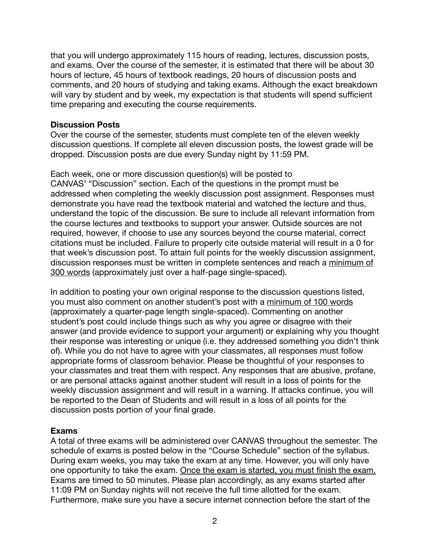that you will undergo approximately 115 hours of reading, lectures, discussion posts, and exams. Over the course of the semester, it is estimated that there will be about 30 hours of lecture, 45 hours of textbook readings, 20 hours of discussion posts and comments, and 20 hours of studying and taking exams. Although the exact breakdown will vary by student and by week, my expectation is that students will spend sufficient time preparing and executing the course requirements.

### **Discussion Posts**

Over the course of the semester, students must complete ten of the eleven weekly discussion questions. If complete all eleven discussion posts, the lowest grade will be dropped. Discussion posts are due every Sunday night by 11:59 PM.

Each week, one or more discussion question(s) will be posted to CANVAS' "Discussion" section. Each of the questions in the prompt must be addressed when completing the weekly discussion post assignment. Responses must demonstrate you have read the textbook material and watched the lecture and thus, understand the topic of the discussion. Be sure to include all relevant information from the course lectures and textbooks to support your answer. Outside sources are not required, however, if choose to use any sources beyond the course material, correct citations must be included. Failure to properly cite outside material will result in a 0 for that week's discussion post. To attain full points for the weekly discussion assignment, discussion responses must be written in complete sentences and reach a minimum of 300 words (approximately just over a half-page single-spaced).

In addition to posting your own original response to the discussion questions listed, you must also comment on another student's post with a minimum of 100 words (approximately a quarter-page length single-spaced). Commenting on another student's post could include things such as why you agree or disagree with their answer (and provide evidence to support your argument) or explaining why you thought their response was interesting or unique (i.e. they addressed something you didn't think of). While you do not have to agree with your classmates, all responses must follow appropriate forms of classroom behavior. Please be thoughtful of your responses to your classmates and treat them with respect. Any responses that are abusive, profane, or are personal attacks against another student will result in a loss of points for the weekly discussion assignment and will result in a warning. If attacks continue, you will be reported to the Dean of Students and will result in a loss of all points for the discussion posts portion of your final grade.

### **Exams**

A total of three exams will be administered over CANVAS throughout the semester. The schedule of exams is posted below in the "Course Schedule" section of the syllabus. During exam weeks, you may take the exam at any time. However, you will only have one opportunity to take the exam. Once the exam is started, you must finish the exam. Exams are timed to 50 minutes. Please plan accordingly, as any exams started after 11:09 PM on Sunday nights will not receive the full time allotted for the exam. Furthermore, make sure you have a secure internet connection before the start of the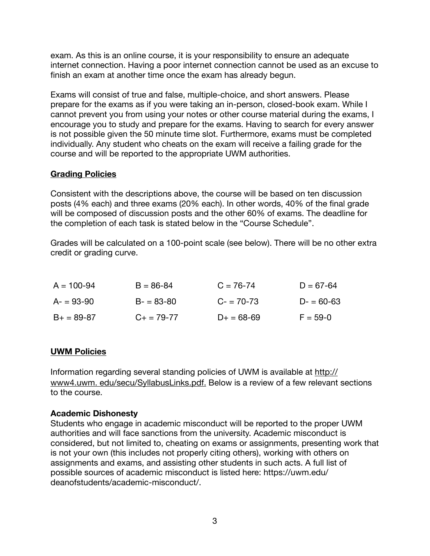exam. As this is an online course, it is your responsibility to ensure an adequate internet connection. Having a poor internet connection cannot be used as an excuse to finish an exam at another time once the exam has already begun.

Exams will consist of true and false, multiple-choice, and short answers. Please prepare for the exams as if you were taking an in-person, closed-book exam. While I cannot prevent you from using your notes or other course material during the exams, I encourage you to study and prepare for the exams. Having to search for every answer is not possible given the 50 minute time slot. Furthermore, exams must be completed individually. Any student who cheats on the exam will receive a failing grade for the course and will be reported to the appropriate UWM authorities.

### **Grading Policies**

Consistent with the descriptions above, the course will be based on ten discussion posts (4% each) and three exams (20% each). In other words, 40% of the final grade will be composed of discussion posts and the other 60% of exams. The deadline for the completion of each task is stated below in the "Course Schedule".

Grades will be calculated on a 100-point scale (see below). There will be no other extra credit or grading curve.

| $A = 100 - 94$ | $B = 86 - 84$   | $C = 76 - 74$ | $D = 67 - 64$ |
|----------------|-----------------|---------------|---------------|
| $A = 93-90$    | $B - 83 - 80$   | $C = 70-73$   | $D - 60 - 63$ |
| $B+ = 89-87$   | $C_{+}$ = 79-77 | $D+ = 68-69$  | $F = 59 - 0$  |

## **UWM Policies**

Information regarding several standing policies of UWM is available at http:// www4.uwm. edu/secu/SyllabusLinks.pdf. Below is a review of a few relevant sections to the course.

## **Academic Dishonesty**

Students who engage in academic misconduct will be reported to the proper UWM authorities and will face sanctions from the university. Academic misconduct is considered, but not limited to, cheating on exams or assignments, presenting work that is not your own (this includes not properly citing others), working with others on assignments and exams, and assisting other students in such acts. A full list of possible sources of academic misconduct is listed here: https://uwm.edu/ deanofstudents/academic-misconduct/.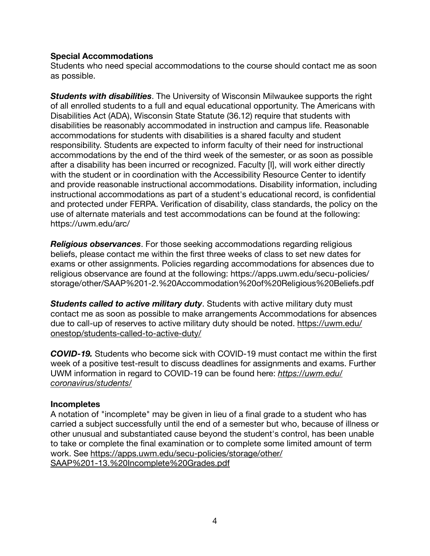## **Special Accommodations**

Students who need special accommodations to the course should contact me as soon as possible.

*Students with disabilities*. The University of Wisconsin Milwaukee supports the right of all enrolled students to a full and equal educational opportunity. The Americans with Disabilities Act (ADA), Wisconsin State Statute (36.12) require that students with disabilities be reasonably accommodated in instruction and campus life. Reasonable accommodations for students with disabilities is a shared faculty and student responsibility. Students are expected to inform faculty of their need for instructional accommodations by the end of the third week of the semester, or as soon as possible after a disability has been incurred or recognized. Faculty [I], will work either directly with the student or in coordination with the Accessibility Resource Center to identify and provide reasonable instructional accommodations. Disability information, including instructional accommodations as part of a student's educational record, is confidential and protected under FERPA. Verification of disability, class standards, the policy on the use of alternate materials and test accommodations can be found at the following: https://uwm.edu/arc/

*Religious observances*. For those seeking accommodations regarding religious beliefs, please contact me within the first three weeks of class to set new dates for exams or other assignments. Policies regarding accommodations for absences due to religious observance are found at the following: https://apps.uwm.edu/secu-policies/ storage/other/SAAP%201-2.%20Accommodation%20of%20Religious%20Beliefs.pdf

*Students called to active military duty*. Students with active military duty must contact me as soon as possible to make arrangements Accommodations for absences due to call-up of reserves to active military duty should be noted. [https://uwm.edu/](https://uwm.edu/onestop/students-called-to-active-duty/) [onestop/students-called-to-active-duty/](https://uwm.edu/onestop/students-called-to-active-duty/)

*COVID-19.* Students who become sick with COVID-19 must contact me within the first week of a positive test-result to discuss deadlines for assignments and exams. Further UWM information in regard to COVID-19 can be found here: *[https://uwm.edu/](https://uwm.edu/coronavirus/students/) [coronavirus/students/](https://uwm.edu/coronavirus/students/)*

## **Incompletes**

A notation of "incomplete" may be given in lieu of a final grade to a student who has carried a subject successfully until the end of a semester but who, because of illness or other unusual and substantiated cause beyond the student's control, has been unable to take or complete the final examination or to complete some limited amount of term [work. See https://apps.uwm.edu/secu-policies/storage/other/](https://apps.uwm.edu/secu-policies/storage/other/SAAP%201-13.%20Incomplete%20Grades.pdf) [SAAP%201-13.%20Incomplete%20Grades.pdf](https://apps.uwm.edu/secu-policies/storage/other/SAAP%201-13.%20Incomplete%20Grades.pdf)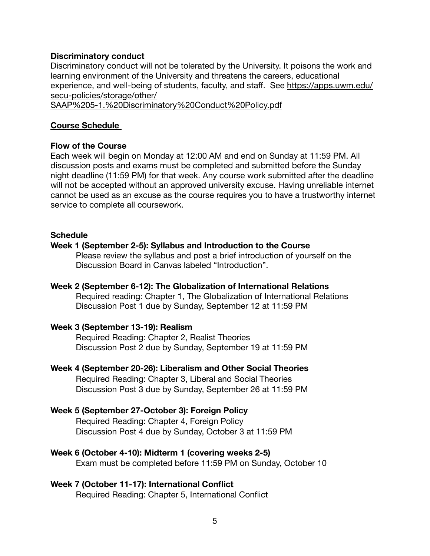#### **Discriminatory conduct**

Discriminatory conduct will not be tolerated by the University. It poisons the work and learning environment of the University and threatens the careers, educational experience, and well-being of students, faculty, and staff. See https://apps.uwm.edu/ secu-policies/storage/other/

SAAP%205-1.%20Discriminatory%20Conduct%20Policy.pdf

### **Course Schedule**

#### **Flow of the Course**

Each week will begin on Monday at 12:00 AM and end on Sunday at 11:59 PM. All discussion posts and exams must be completed and submitted before the Sunday night deadline (11:59 PM) for that week. Any course work submitted after the deadline will not be accepted without an approved university excuse. Having unreliable internet cannot be used as an excuse as the course requires you to have a trustworthy internet service to complete all coursework.

#### **Schedule**

#### **Week 1 (September 2-5): Syllabus and Introduction to the Course**

Please review the syllabus and post a brief introduction of yourself on the Discussion Board in Canvas labeled "Introduction".

## **Week 2 (September 6-12): The Globalization of International Relations**

Required reading: Chapter 1, The Globalization of International Relations Discussion Post 1 due by Sunday, September 12 at 11:59 PM

### **Week 3 (September 13-19): Realism**

Required Reading: Chapter 2, Realist Theories Discussion Post 2 due by Sunday, September 19 at 11:59 PM

**Week 4 (September 20-26): Liberalism and Other Social Theories**  Required Reading: Chapter 3, Liberal and Social Theories Discussion Post 3 due by Sunday, September 26 at 11:59 PM

### **Week 5 (September 27-October 3): Foreign Policy**

Required Reading: Chapter 4, Foreign Policy Discussion Post 4 due by Sunday, October 3 at 11:59 PM

### **Week 6 (October 4-10): Midterm 1 (covering weeks 2-5)**

Exam must be completed before 11:59 PM on Sunday, October 10

### **Week 7 (October 11-17): International Conflict**

Required Reading: Chapter 5, International Conflict